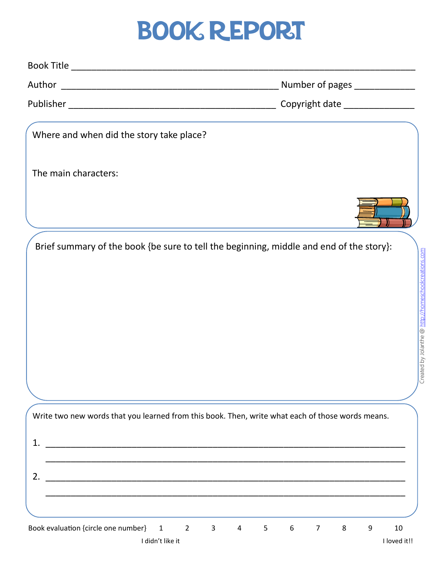## Book Report

|                                                                         | Number of pages ______________                                                                   |
|-------------------------------------------------------------------------|--------------------------------------------------------------------------------------------------|
|                                                                         | Copyright date ________________                                                                  |
| Where and when did the story take place?                                |                                                                                                  |
| The main characters:                                                    |                                                                                                  |
|                                                                         |                                                                                                  |
|                                                                         | Brief summary of the book {be sure to tell the beginning, middle and end of the story}:          |
|                                                                         |                                                                                                  |
|                                                                         |                                                                                                  |
|                                                                         |                                                                                                  |
|                                                                         |                                                                                                  |
|                                                                         |                                                                                                  |
|                                                                         | Write two new words that you learned from this book. Then, write what each of those words means. |
| 1.                                                                      |                                                                                                  |
| 2.                                                                      |                                                                                                  |
|                                                                         |                                                                                                  |
| Book evaluation {circle one number}<br>$\mathbf{1}$<br>I didn't like it | $\overline{2}$<br>$\mathbf{3}$<br>$\overline{7}$<br>10<br>4<br>5<br>6<br>8<br>9<br>I loved it!!  |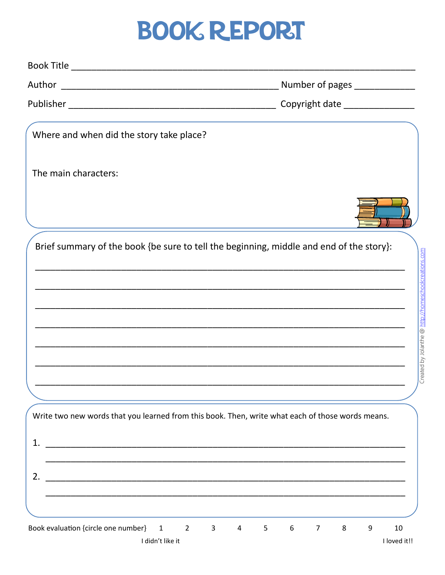## **BOOK REPORT**

|                                                                             | Copyright date ________________                                                                  |  |  |  |  |
|-----------------------------------------------------------------------------|--------------------------------------------------------------------------------------------------|--|--|--|--|
| Where and when did the story take place?                                    |                                                                                                  |  |  |  |  |
| The main characters:                                                        |                                                                                                  |  |  |  |  |
|                                                                             |                                                                                                  |  |  |  |  |
|                                                                             | Brief summary of the book {be sure to tell the beginning, middle and end of the story}:          |  |  |  |  |
|                                                                             |                                                                                                  |  |  |  |  |
|                                                                             |                                                                                                  |  |  |  |  |
|                                                                             |                                                                                                  |  |  |  |  |
|                                                                             |                                                                                                  |  |  |  |  |
|                                                                             |                                                                                                  |  |  |  |  |
|                                                                             | Write two new words that you learned from this book. Then, write what each of those words means. |  |  |  |  |
| 1.                                                                          |                                                                                                  |  |  |  |  |
| 2.                                                                          |                                                                                                  |  |  |  |  |
|                                                                             |                                                                                                  |  |  |  |  |
| $\overline{2}$<br>Book evaluation {circle one number} 1<br>I didn't like it | $\mathbf{3}$<br>6<br>$\overline{7}$<br>9<br>10<br>$\overline{4}$<br>5<br>8<br>I loved it!!       |  |  |  |  |